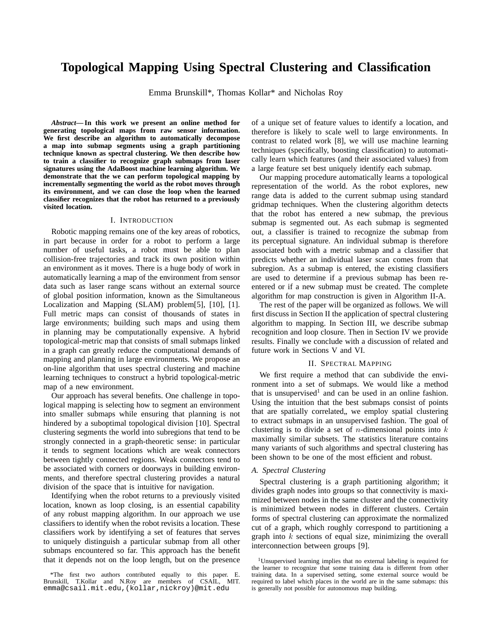# **Topological Mapping Using Spectral Clustering and Classification**

Emma Brunskill\*, Thomas Kollar\* and Nicholas Roy

*Abstract***— In this work we present an online method for generating topological maps from raw sensor information. We first describe an algorithm to automatically decompose a map into submap segments using a graph partitioning technique known as spectral clustering. We then describe how to train a classifier to recognize graph submaps from laser signatures using the AdaBoost machine learning algorithm. We demonstrate that the we can perform topological mapping by incrementally segmenting the world as the robot moves through its environment, and we can close the loop when the learned classifier recognizes that the robot has returned to a previously visited location.**

# I. INTRODUCTION

Robotic mapping remains one of the key areas of robotics, in part because in order for a robot to perform a large number of useful tasks, a robot must be able to plan collision-free trajectories and track its own position within an environment as it moves. There is a huge body of work in automatically learning a map of the environment from sensor data such as laser range scans without an external source of global position information, known as the Simultaneous Localization and Mapping (SLAM) problem[5], [10], [1]. Full metric maps can consist of thousands of states in large environments; building such maps and using them in planning may be computationally expensive. A hybrid topological-metric map that consists of small submaps linked in a graph can greatly reduce the computational demands of mapping and planning in large environments. We propose an on-line algorithm that uses spectral clustering and machine learning techniques to construct a hybrid topological-metric map of a new environment.

Our approach has several benefits. One challenge in topological mapping is selecting how to segment an environment into smaller submaps while ensuring that planning is not hindered by a suboptimal topological division [10]. Spectral clustering segments the world into subregions that tend to be strongly connected in a graph-theoretic sense: in particular it tends to segment locations which are weak connectors between tightly connected regions. Weak connectors tend to be associated with corners or doorways in building environments, and therefore spectral clustering provides a natural division of the space that is intuitive for navigation.

Identifying when the robot returns to a previously visited location, known as loop closing, is an essential capability of any robust mapping algorithm. In our approach we use classifiers to identify when the robot revisits a location. These classifiers work by identifying a set of features that serves to uniquely distinguish a particular submap from all other submaps encountered so far. This approach has the benefit that it depends not on the loop length, but on the presence

of a unique set of feature values to identify a location, and therefore is likely to scale well to large environments. In contrast to related work [8], we will use machine learning techniques (specifically, boosting classification) to automatically learn which features (and their associated values) from a large feature set best uniquely identify each submap.

Our mapping procedure automatically learns a topological representation of the world. As the robot explores, new range data is added to the current submap using standard gridmap techniques. When the clustering algorithm detects that the robot has entered a new submap, the previous submap is segmented out. As each submap is segmented out, a classifier is trained to recognize the submap from its perceptual signature. An individual submap is therefore associated both with a metric submap and a classifier that predicts whether an individual laser scan comes from that subregion. As a submap is entered, the existing classifiers are used to determine if a previous submap has been reentered or if a new submap must be created. The complete algorithm for map construction is given in Algorithm II-A.

The rest of the paper will be organized as follows. We will first discuss in Section II the application of spectral clustering algorithm to mapping. In Section III, we describe submap recognition and loop closure. Then in Section IV we provide results. Finally we conclude with a discussion of related and future work in Sections V and VI.

# II. SPECTRAL MAPPING

We first require a method that can subdivide the environment into a set of submaps. We would like a method that is unsupervised<sup>1</sup> and can be used in an online fashion. Using the intuition that the best submaps consist of points that are spatially correlated,, we employ spatial clustering to extract submaps in an unsupervised fashion. The goal of clustering is to divide a set of *n*-dimensional points into  $k$ maximally similar subsets. The statistics literature contains many variants of such algorithms and spectral clustering has been shown to be one of the most efficient and robust.

#### *A. Spectral Clustering*

Spectral clustering is a graph partitioning algorithm; it divides graph nodes into groups so that connectivity is maximized between nodes in the same cluster and the connectivity is minimized between nodes in different clusters. Certain forms of spectral clustering can approximate the normalized cut of a graph, which roughly correspond to partitioning a graph into k sections of equal size, minimizing the overall interconnection between groups [9].

<sup>\*</sup>The first two authors contributed equally to this paper. E. Brunskill, T.Kollar and N.Roy are members of CSAIL, MIT. emma@csail.mit.edu,(kollar,nickroy)@mit.edu

<sup>1</sup>Unsupervised learning implies that no external labeling is required for the learner to recognize that some training data is different from other training data. In a supervised setting, some external source would be required to label which places in the world are in the same submaps: this is generally not possible for autonomous map building.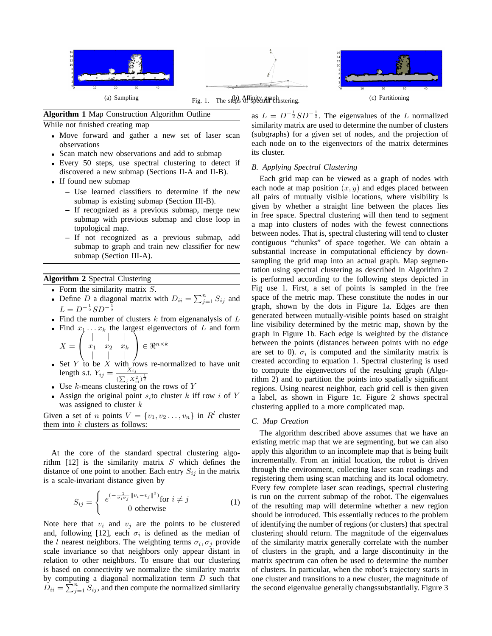

(a) Sampling  $Fig. 1.$  The steps  $\frac{1}{2}$  Affinity graph (c) Partitioning (c) Partitioning



# **Algorithm 1** Map Construction Algorithm Outline

While not finished creating map

- Move forward and gather a new set of laser scan observations
- Scan match new observations and add to submap
- Every 50 steps, use spectral clustering to detect if discovered a new submap (Sections II-A and II-B).
- If found new submap
	- **–** Use learned classifiers to determine if the new submap is existing submap (Section III-B).
	- **–** If recognized as a previous submap, merge new submap with previous submap and close loop in topological map.
	- **–** If not recognized as a previous submap, add submap to graph and train new classifier for new submap (Section III-A).

# **Algorithm 2** Spectral Clustering

- Form the similarity matrix  $S$ .
- Define D a diagonal matrix with  $D_{ii} = \sum_{j=1}^{n} S_{ij}$  and  $L = D^{-\frac{1}{2}} S D^{-\frac{1}{2}}$
- Find the number of clusters  $k$  from eigenanalysis of  $L$
- Find  $x_1 \ldots x_k$  the largest eigenvectors of L and form  $| | |$

$$
X = \begin{pmatrix} x_1 & x_2 & x_k \\ x_1 & x_2 & x_k \end{pmatrix} \in \Re^{n \times k}
$$

- Set Y to be X with rows re-normalized to have unit length s.t.  $Y_{ij} = \frac{X_{ij}}{\sqrt{N_i} X_{ij}}$  $\frac{1}{(\sum_j X_{ij}^2)^{\frac{1}{2}}}$
- Use  $k$ -means clustering on the rows of  $Y$
- Assign the original point  $s_i$  to cluster k iff row i of Y was assigned to cluster  $k$

Given a set of *n* points  $V = \{v_1, v_2 \dots, v_n\}$  in  $R^l$  cluster them into  $k$  clusters as follows:

At the core of the standard spectral clustering algorithm  $[12]$  is the similarity matrix S which defines the distance of one point to another. Each entry  $S_{ij}$  in the matrix is a scale-invariant distance given by

$$
S_{ij} = \begin{cases} e^{(-\frac{1}{\sigma_i \sigma_j} ||v_i - v_j||^2)} \text{for } i \neq j \\ 0 \text{ otherwise} \end{cases}
$$
 (1)

Note here that  $v_i$  and  $v_j$  are the points to be clustered and, following [12], each  $\sigma_i$  is defined as the median of the l nearest neighbors. The weighting terms  $\sigma_i, \sigma_j$  provide scale invariance so that neighbors only appear distant in relation to other neighbors. To ensure that our clustering is based on connectivity we normalize the similarity matrix by computing a diagonal normalization term  $D$  such that  $D_{ii} = \sum_{j=1}^{n} S_{ij}$ , and then compute the normalized similarity

as  $L = D^{-\frac{1}{2}} S D^{-\frac{1}{2}}$ . The eigenvalues of the L normalized similarity matrix are used to determine the number of clusters (subgraphs) for a given set of nodes, and the projection of each node on to the eigenvectors of the matrix determines its cluster.

# *B. Applying Spectral Clustering*

Each grid map can be viewed as a graph of nodes with each node at map position  $(x, y)$  and edges placed between all pairs of mutually visible locations, where visibility is given by whether a straight line between the places lies in free space. Spectral clustering will then tend to segment a map into clusters of nodes with the fewest connections between nodes. That is, spectral clustering will tend to cluster contiguous "chunks" of space together. We can obtain a substantial increase in computational efficiency by downsampling the grid map into an actual graph. Map segmentation using spectral clustering as described in Algorithm 2 is performed according to the following steps depicted in Fig use 1. First, a set of points is sampled in the free space of the metric map. These constitute the nodes in our graph, shown by the dots in Figure 1a. Edges are then generated between mutually-visible points based on straight line visibility determined by the metric map, shown by the graph in Figure 1b. Each edge is weighted by the distance between the points (distances between points with no edge are set to 0).  $\sigma_i$  is computed and the similarity matrix is created according to equation 1. Spectral clustering is used to compute the eigenvectors of the resulting graph (Algorithm 2) and to partition the points into spatially significant regions. Using nearest neighbor, each grid cell is then given a label, as shown in Figure 1c. Figure 2 shows spectral clustering applied to a more complicated map.

#### *C. Map Creation*

The algorithm described above assumes that we have an existing metric map that we are segmenting, but we can also apply this algorithm to an incomplete map that is being built incrementally. From an initial location, the robot is driven through the environment, collecting laser scan readings and registering them using scan matching and its local odometry. Every few complete laser scan readings, spectral clustering is run on the current submap of the robot. The eigenvalues of the resulting map will determine whether a new region should be introduced. This essentially reduces to the problem of identifying the number of regions (or clusters) that spectral clustering should return. The magnitude of the eigenvalues of the similarity matrix generally correlate with the number of clusters in the graph, and a large discontinuity in the matrix spectrum can often be used to determine the number of clusters. In particular, when the robot's trajectory starts in one cluster and transitions to a new cluster, the magnitude of the second eigenvalue generally changssubstantially. Figure 3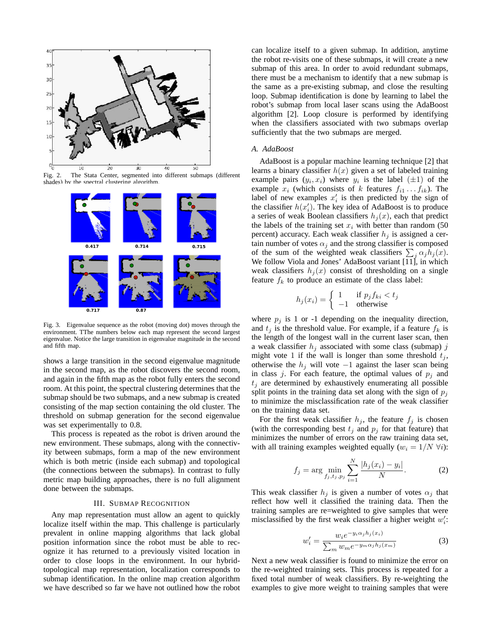

Fig. 2. The Stata Center, segmented into different submaps (different shades) by the spectral clustering algorithm



Fig. 3. Eigenvalue sequence as the robot (moving dot) moves through the environment. TThe numbers below each map represent the second largest eigenvalue. Notice the large transition in eigenvalue magnitude in the second and fifth map.

shows a large transition in the second eigenvalue magnitude in the second map, as the robot discovers the second room, and again in the fifth map as the robot fully enters the second room. At this point, the spectral clustering determines that the submap should be two submaps, and a new submap is created consisting of the map section containing the old cluster. The threshold on submap generation for the second eigenvalue was set experimentally to 0.8.

This process is repeated as the robot is driven around the new environment. These submaps, along with the connectivity between submaps, form a map of the new environment which is both metric (inside each submap) and topological (the connections between the submaps). In contrast to fully metric map building approaches, there is no full alignment done between the submaps.

# III. SUBMAP RECOGNITION

Any map representation must allow an agent to quickly localize itself within the map. This challenge is particularly prevalent in online mapping algorithms that lack global position information since the robot must be able to recognize it has returned to a previously visited location in order to close loops in the environment. In our hybridtopological map representation, localization corresponds to submap identification. In the online map creation algorithm we have described so far we have not outlined how the robot can localize itself to a given submap. In addition, anytime the robot re-visits one of these submaps, it will create a new submap of this area. In order to avoid redundant submaps, there must be a mechanism to identify that a new submap is the same as a pre-existing submap, and close the resulting loop. Submap identification is done by learning to label the robot's submap from local laser scans using the AdaBoost algorithm [2]. Loop closure is performed by identifying when the classifiers associated with two submaps overlap sufficiently that the two submaps are merged.

# *A. AdaBoost*

AdaBoost is a popular machine learning technique [2] that learns a binary classifier  $h(x)$  given a set of labeled training example pairs  $(y_i, x_i)$  where  $y_i$  is the label  $(\pm 1)$  of the example  $x_i$  (which consists of k features  $f_{i1} \dots f_{ik}$ ). The label of new examples  $x_i'$  is then predicted by the sign of the classifier  $h(x'_i)$ . The key idea of AdaBoost is to produce a series of weak Boolean classifiers  $h_j(x)$ , each that predict the labels of the training set  $x_i$  with better than random (50 percent) accuracy. Each weak classifier  $h_i$  is assigned a certain number of votes  $\alpha_i$  and the strong classifier is composed of the sum of the weighted weak classifiers  $\sum_j \alpha_j h_j(x)$ . We follow Viola and Jones' AdaBoost variant [11], in which weak classifiers  $h_i(x)$  consist of thresholding on a single feature  $f_k$  to produce an estimate of the class label:

$$
h_j(x_i) = \begin{cases} 1 & \text{if } p_j f_{ki} < t_j \\ -1 & \text{otherwise} \end{cases}
$$

where  $p_i$  is 1 or -1 depending on the inequality direction, and  $t_i$  is the threshold value. For example, if a feature  $f_k$  is the length of the longest wall in the current laser scan, then a weak classifier  $h_j$  associated with some class (submap) j might vote 1 if the wall is longer than some threshold  $t_i$ , otherwise the  $h_j$  will vote −1 against the laser scan being in class j. For each feature, the optimal values of  $p_j$  and  $t_i$  are determined by exhaustively enumerating all possible split points in the training data set along with the sign of  $p_j$ to minimize the misclassification rate of the weak classifier on the training data set.

For the first weak classifier  $h_j$ , the feature  $f_j$  is chosen (with the corresponding best  $t_j$  and  $p_j$  for that feature) that minimizes the number of errors on the raw training data set, with all training examples weighted equally  $(w_i = 1/N \; \forall i)$ :

$$
f_j = \arg \min_{f_j, t_j, p_j} \sum_{i=1}^{N} \frac{|h_j(x_i) - y_i|}{N}.
$$
 (2)

This weak classifier  $h_j$  is given a number of votes  $\alpha_j$  that reflect how well it classified the training data. Then the training samples are re=weighted to give samples that were misclassified by the first weak classifier a higher weight  $w'_i$ :

$$
w_i' = \frac{w_i e^{-y_i \alpha_j h_j(x_i)}}{\sum_m w_m e^{-y_m \alpha_j h_j(x_m)}}
$$
(3)

Next a new weak classifier is found to minimize the error on the re-weighted training sets. This process is repeated for a fixed total number of weak classifiers. By re-weighting the examples to give more weight to training samples that were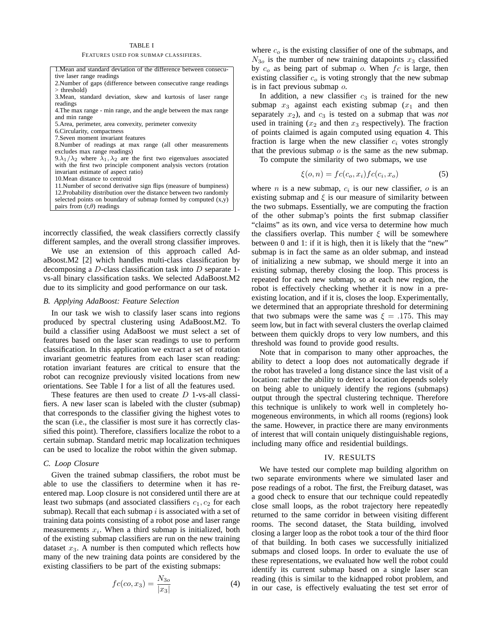#### FEATURES USED FOR SUBMAP CLASSIFIERS.

| 1. Mean and standard deviation of the difference between consecu-                             |
|-----------------------------------------------------------------------------------------------|
| tive laser range readings                                                                     |
| 2. Number of gaps (difference between consecutive range readings)                             |
| $>$ threshold)                                                                                |
| 3. Mean, standard deviation, skew and kurtosis of laser range                                 |
| readings                                                                                      |
| 4. The max range - min range, and the angle between the max range                             |
| and min range                                                                                 |
| 5. Area, perimeter, area convexity, perimeter convexity                                       |
| 6. Circularity, compactness                                                                   |
| 7. Seven moment invariant features                                                            |
| 8. Number of readings at max range (all other measurements                                    |
| excludes max range readings)                                                                  |
| $9.\lambda_1/\lambda_2$ where $\lambda_1, \lambda_2$ are the first two eigenvalues associated |
| with the first two principle component analysis vectors (rotation                             |
| invariant estimate of aspect ratio)                                                           |
| 10. Mean distance to centroid                                                                 |
| 11. Number of second derivative sign flips (measure of bumpiness)                             |
| 12. Probability distribution over the distance between two randomly                           |
| selected points on boundary of submap formed by computed $(x,y)$                              |
| pairs from $(r,\theta)$ readings                                                              |
|                                                                                               |

incorrectly classified, the weak classifiers correctly classify different samples, and the overall strong classifier improves.

We use an extension of this approach called AdaBoost.M2 [2] which handles multi-class classification by decomposing a D-class classification task into D separate 1 vs-all binary classification tasks. We selected AdaBoost.M2 due to its simplicity and good performance on our task.

# *B. Applying AdaBoost: Feature Selection*

In our task we wish to classify laser scans into regions produced by spectral clustering using AdaBoost.M2. To build a classifier using AdaBoost we must select a set of features based on the laser scan readings to use to perform classification. In this application we extract a set of rotation invariant geometric features from each laser scan reading: rotation invariant features are critical to ensure that the robot can recognize previously visited locations from new orientations. See Table I for a list of all the features used.

These features are then used to create  $D$  1-vs-all classifiers. A new laser scan is labeled with the cluster (submap) that corresponds to the classifier giving the highest votes to the scan (i.e., the classifier is most sure it has correctly classified this point). Therefore, classifiers localize the robot to a certain submap. Standard metric map localization techniques can be used to localize the robot within the given submap.

# *C. Loop Closure*

Given the trained submap classifiers, the robot must be able to use the classifiers to determine when it has reentered map. Loop closure is not considered until there are at least two submaps (and associated classifiers  $c_1, c_2$  for each submap). Recall that each submap  $i$  is associated with a set of training data points consisting of a robot pose and laser range measurements  $x_i$ . When a third submap is initialized, both of the existing submap classifiers are run on the new training dataset  $x_3$ . A number is then computed which reflects how many of the new training data points are considered by the existing classifiers to be part of the existing submaps:

$$
fc(co, x_3) = \frac{N_{3o}}{|x_3|}
$$
 (4)

where  $c<sub>o</sub>$  is the existing classifier of one of the submaps, and  $N_{3o}$  is the number of new training datapoints  $x_3$  classified by  $c<sub>o</sub>$  as being part of submap  $o$ . When  $fc$  is large, then existing classifier  $c<sub>o</sub>$  is voting strongly that the new submap is in fact previous submap o.

In addition, a new classifier  $c_3$  is trained for the new submap  $x_3$  against each existing submap  $(x_1)$  and then separately  $x_2$ ), and  $c_3$  is tested on a submap that was *not* used in training  $(x_2$  and then  $x_3$  respectively). The fraction of points claimed is again computed using equation 4. This fraction is large when the new classifier  $c_i$  votes strongly that the previous submap  $\sigma$  is the same as the new submap.

To compute the similarity of two submaps, we use

$$
\xi(o, n) = fc(c_o, x_i)fc(c_i, x_o)
$$
\n
$$
(5)
$$

where *n* is a new submap,  $c_i$  is our new classifier,  $o$  is an existing submap and  $\xi$  is our measure of similarity between the two submaps. Essentially, we are computing the fraction of the other submap's points the first submap classifier "claims" as its own, and vice versa to determine how much the classifiers overlap. This number  $\xi$  will be somewhere between 0 and 1: if it is high, then it is likely that the "new" submap is in fact the same as an older submap, and instead of initializing a new submap, we should merge it into an existing submap, thereby closing the loop. This process is repeated for each new submap, so at each new region, the robot is effectively checking whether it is now in a preexisting location, and if it is, closes the loop. Experimentally, we determined that an appropriate threshold for determining that two submaps were the same was  $\xi = .175$ . This may seem low, but in fact with several clusters the overlap claimed between them quickly drops to very low numbers, and this threshold was found to provide good results.

Note that in comparison to many other approaches, the ability to detect a loop does not automatically degrade if the robot has traveled a long distance since the last visit of a location: rather the ability to detect a location depends solely on being able to uniquely identify the regions (submaps) output through the spectral clustering technique. Therefore this technique is unlikely to work well in completely homogeneous environments, in which all rooms (regions) look the same. However, in practice there are many environments of interest that will contain uniquely distinguishable regions, including many office and residential buildings.

#### IV. RESULTS

We have tested our complete map building algorithm on two separate environments where we simulated laser and pose readings of a robot. The first, the Freiburg dataset, was a good check to ensure that our technique could repeatedly close small loops, as the robot trajectory here repeatedly returned to the same corridor in between visiting different rooms. The second dataset, the Stata building, involved closing a larger loop as the robot took a tour of the third floor of that building. In both cases we successfully initialized submaps and closed loops. In order to evaluate the use of these representations, we evaluated how well the robot could identify its current submap based on a single laser scan reading (this is similar to the kidnapped robot problem, and in our case, is effectively evaluating the test set error of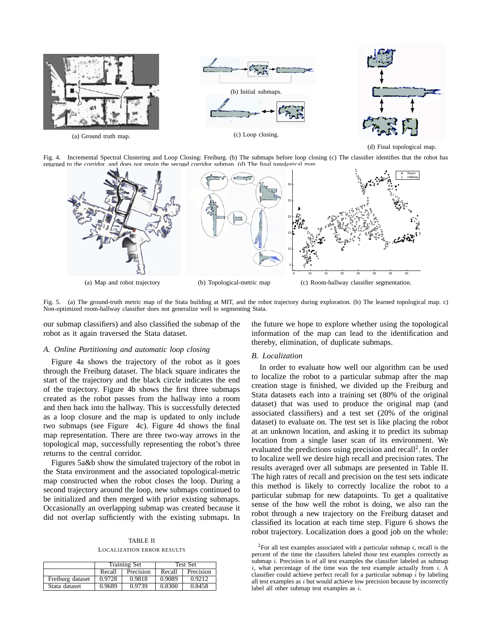

(d) Final topological map. Fig. 4. Incremental Spectral Clustering and Loop Closing: Freiburg. (b) The submaps before loop closing (c) The classifier identifies that the robot has



Fig. 5. (a) The ground-truth metric map of the Stata building at MIT, and the robot trajectory during exploration. (b) The learned topological map. c) Non-optimized room-hallway classifier does not generalize well to segmenting Stata.

our submap classifiers) and also classified the submap of the robot as it again traversed the Stata dataset.

# *A. Online Partitioning and automatic loop closing*

Figure 4a shows the trajectory of the robot as it goes through the Freiburg dataset. The black square indicates the start of the trajectory and the black circle indicates the end of the trajectory. Figure 4b shows the first three submaps created as the robot passes from the hallway into a room and then back into the hallway. This is successfully detected as a loop closure and the map is updated to only include two submaps (see Figure 4c). Figure 4d shows the final map representation. There are three two-way arrows in the topological map, successfully representing the robot's three returns to the central corridor.

Figures 5a&b show the simulated trajectory of the robot in the Stata environment and the associated topological-metric map constructed when the robot closes the loop. During a second trajectory around the loop, new submaps continued to be initialized and then merged with prior existing submaps. Occasionally an overlapping submap was created because it did not overlap sufficiently with the existing submaps. In

TABLE II LOCALIZATION ERROR RESULTS

|                  | Training Set |           | Test Set |           |
|------------------|--------------|-----------|----------|-----------|
|                  | Recall       | Precision | Recall   | Precision |
| Freiburg dataset | 0.9728       | 0.9818    | 0.9089   | 0.9212    |
| Stata dataset    | 0.9689       | 0.9739    | 0.8300   | 0.8458    |

the future we hope to explore whether using the topological information of the map can lead to the identification and thereby, elimination, of duplicate submaps.

# *B. Localization*

In order to evaluate how well our algorithm can be used to localize the robot to a particular submap after the map creation stage is finished, we divided up the Freiburg and Stata datasets each into a training set (80% of the original dataset) that was used to produce the original map (and associated classifiers) and a test set (20% of the original dataset) to evaluate on. The test set is like placing the robot at an unknown location, and asking it to predict its submap location from a single laser scan of its environment. We evaluated the predictions using precision and recall<sup>2</sup>. In order to localize well we desire high recall and precision rates. The results averaged over all submaps are presented in Table II. The high rates of recall and precision on the test sets indicate this method is likely to correctly localize the robot to a particular submap for new datapoints. To get a qualitative sense of the how well the robot is doing, we also ran the robot through a new trajectory on the Freiburg dataset and classified its location at each time step. Figure 6 shows the robot trajectory. Localization does a good job on the whole:

<sup>&</sup>lt;sup>2</sup>For all test examples associated with a particular submap  $i$ , recall is the percent of the time the classifiers labeled those test examples correctly as submap *i*. Precision is of all test examples the classifier labeled as submap  $i$ , what percentage of the time was the test example actually from  $i$ . A classifier could achieve perfect recall for a particular submap  $i$  by labeling all test examples as  $i$  but would achieve low precision because by incorrectly label all other submap test examples as  $i$ .